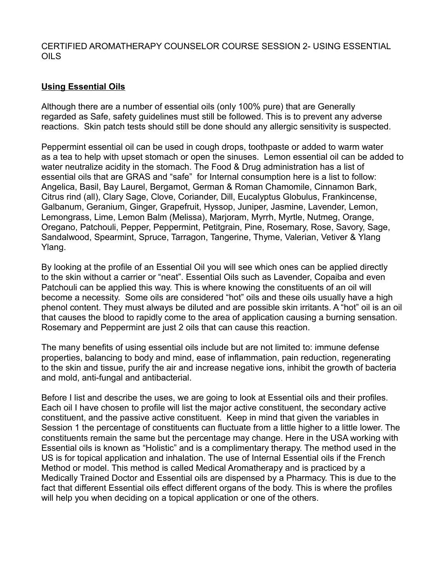#### **Using Essential Oils**

Although there are a number of essential oils (only 100% pure) that are Generally regarded as Safe, safety guidelines must still be followed. This is to prevent any adverse reactions. Skin patch tests should still be done should any allergic sensitivity is suspected.

Peppermint essential oil can be used in cough drops, toothpaste or added to warm water as a tea to help with upset stomach or open the sinuses. Lemon essential oil can be added to water neutralize acidity in the stomach. The Food & Drug administration has a list of essential oils that are GRAS and "safe" for Internal consumption here is a list to follow: Angelica, Basil, Bay Laurel, Bergamot, German & Roman Chamomile, Cinnamon Bark, Citrus rind (all), Clary Sage, Clove, Coriander, Dill, Eucalyptus Globulus, Frankincense, Galbanum, Geranium, Ginger, Grapefruit, Hyssop, Juniper, Jasmine, Lavender, Lemon, Lemongrass, Lime, Lemon Balm (Melissa), Marjoram, Myrrh, Myrtle, Nutmeg, Orange, Oregano, Patchouli, Pepper, Peppermint, Petitgrain, Pine, Rosemary, Rose, Savory, Sage, Sandalwood, Spearmint, Spruce, Tarragon, Tangerine, Thyme, Valerian, Vetiver & Ylang Ylang.

By looking at the profile of an Essential Oil you will see which ones can be applied directly to the skin without a carrier or "neat". Essential Oils such as Lavender, Copaiba and even Patchouli can be applied this way. This is where knowing the constituents of an oil will become a necessity. Some oils are considered "hot" oils and these oils usually have a high phenol content. They must always be diluted and are possible skin irritants. A "hot" oil is an oil that causes the blood to rapidly come to the area of application causing a burning sensation. Rosemary and Peppermint are just 2 oils that can cause this reaction.

The many benefits of using essential oils include but are not limited to: immune defense properties, balancing to body and mind, ease of inflammation, pain reduction, regenerating to the skin and tissue, purify the air and increase negative ions, inhibit the growth of bacteria and mold, anti-fungal and antibacterial.

Before I list and describe the uses, we are going to look at Essential oils and their profiles. Each oil I have chosen to profile will list the major active constituent, the secondary active constituent, and the passive active constituent. Keep in mind that given the variables in Session 1 the percentage of constituents can fluctuate from a little higher to a little lower. The constituents remain the same but the percentage may change. Here in the USA working with Essential oils is known as "Holistic" and is a complimentary therapy. The method used in the US is for topical application and inhalation. The use of Internal Essential oils if the French Method or model. This method is called Medical Aromatherapy and is practiced by a Medically Trained Doctor and Essential oils are dispensed by a Pharmacy. This is due to the fact that different Essential oils effect different organs of the body. This is where the profiles will help you when deciding on a topical application or one of the others.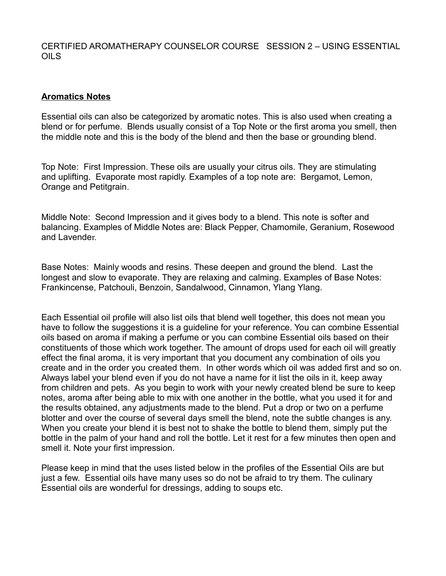#### **Aromatics Notes**

Essential oils can also be categorized by aromatic notes. This is also used when creating a blend or for perfume. Blends usually consist of a Top Note or the first aroma you smell, then the middle note and this is the body of the blend and then the base or grounding blend.

Top Note: First Impression. These oils are usually your citrus oils. They are stimulating and uplifting. Evaporate most rapidly. Examples of a top note are: Bergamot, Lemon, Orange and Petitgrain.

Middle Note: Second Impression and it gives body to a blend. This note is softer and balancing. Examples of Middle Notes are: Black Pepper, Chamomile, Geranium, Rosewood and Lavender.

Base Notes: Mainly woods and resins. These deepen and ground the blend. Last the longest and slow to evaporate. They are relaxing and calming. Examples of Base Notes: Frankincense, Patchouli, Benzoin, Sandalwood, Cinnamon, Ylang Ylang.

Each Essential oil profile will also list oils that blend well together, this does not mean you have to follow the suggestions it is a guideline for your reference. You can combine Essential oils based on aroma if making a perfume or you can combine Essential oils based on their constituents of those which work together. The amount of drops used for each oil will greatly effect the final aroma, it is very important that you document any combination of oils you create and in the order you created them. In other words which oil was added first and so on. Always label your blend even if you do not have a name for it list the oils in it, keep away from children and pets. As you begin to work with your newly created blend be sure to keep notes, aroma after being able to mix with one another in the bottle, what you used it for and the results obtained, any adjustments made to the blend. Put a drop or two on a perfume blotter and over the course of several days smell the blend, note the subtle changes is any. When you create your blend it is best not to shake the bottle to blend them, simply put the bottle in the palm of your hand and roll the bottle. Let it rest for a few minutes then open and smell it. Note your first impression.

Please keep in mind that the uses listed below in the profiles of the Essential Oils are but just a few. Essential oils have many uses so do not be afraid to try them. The culinary Essential oils are wonderful for dressings, adding to soups etc.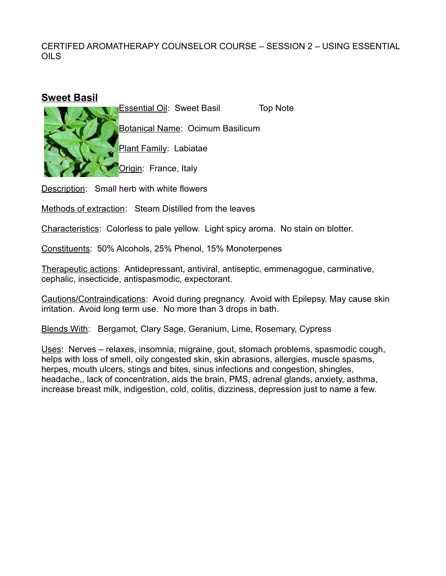#### **Sweet Basil**

Essential Oil: Sweet Basil Top Note



Botanical Name: Ocimum Basilicum

Plant Family: Labiatae

Origin: France, Italy

Description: Small herb with white flowers

Methods of extraction: Steam Distilled from the leaves

Characteristics: Colorless to pale yellow. Light spicy aroma. No stain on blotter.

Constituents: 50% Alcohols, 25% Phenol, 15% Monoterpenes

Therapeutic actions: Antidepressant, antiviral, antiseptic, emmenagogue, carminative, cephalic, insecticide, antispasmodic, expectorant.

Cautions/Contraindications: Avoid during pregnancy. Avoid with Epilepsy. May cause skin irritation. Avoid long term use. No more than 3 drops in bath.

Blends With: Bergamot, Clary Sage, Geranium, Lime, Rosemary, Cypress

Uses: Nerves – relaxes, insomnia, migraine, gout, stomach problems, spasmodic cough, helps with loss of smell, oily congested skin, skin abrasions, allergies, muscle spasms, herpes, mouth ulcers, stings and bites, sinus infections and congestion, shingles, headache,, lack of concentration, aids the brain, PMS, adrenal glands, anxiety, asthma, increase breast milk, indigestion, cold, colitis, dizziness, depression just to name a few.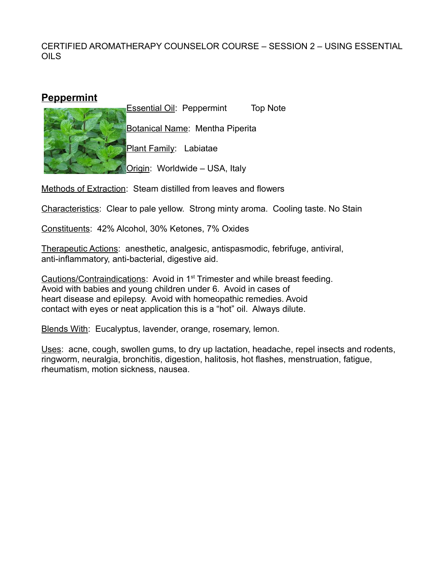## **Peppermint**



Essential Oil: Peppermint Top Note Botanical Name: Mentha Piperita Plant Family: Labiatae

**Origin: Worldwide – USA, Italy** 

Methods of Extraction: Steam distilled from leaves and flowers

Characteristics: Clear to pale yellow. Strong minty aroma. Cooling taste. No Stain

Constituents: 42% Alcohol, 30% Ketones, 7% Oxides

Therapeutic Actions: anesthetic, analgesic, antispasmodic, febrifuge, antiviral, anti-inflammatory, anti-bacterial, digestive aid.

Cautions/Contraindications: Avoid in 1<sup>st</sup> Trimester and while breast feeding. Avoid with babies and young children under 6. Avoid in cases of heart disease and epilepsy. Avoid with homeopathic remedies. Avoid contact with eyes or neat application this is a "hot" oil. Always dilute.

Blends With: Eucalyptus, lavender, orange, rosemary, lemon.

Uses: acne, cough, swollen gums, to dry up lactation, headache, repel insects and rodents, ringworm, neuralgia, bronchitis, digestion, halitosis, hot flashes, menstruation, fatigue, rheumatism, motion sickness, nausea.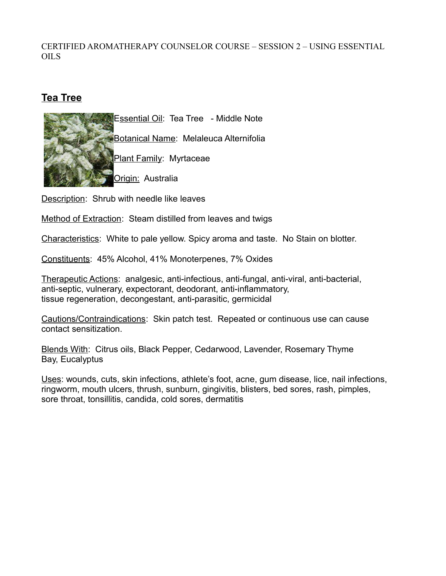# **Tea Tree**



Description: Shrub with needle like leaves

Method of Extraction: Steam distilled from leaves and twigs

Characteristics: White to pale yellow. Spicy aroma and taste. No Stain on blotter.

Constituents: 45% Alcohol, 41% Monoterpenes, 7% Oxides

Therapeutic Actions: analgesic, anti-infectious, anti-fungal, anti-viral, anti-bacterial, anti-septic, vulnerary, expectorant, deodorant, anti-inflammatory, tissue regeneration, decongestant, anti-parasitic, germicidal

Cautions/Contraindications: Skin patch test. Repeated or continuous use can cause contact sensitization.

Blends With: Citrus oils, Black Pepper, Cedarwood, Lavender, Rosemary Thyme Bay, Eucalyptus

Uses: wounds, cuts, skin infections, athlete's foot, acne, gum disease, lice, nail infections, ringworm, mouth ulcers, thrush, sunburn, gingivitis, blisters, bed sores, rash, pimples, sore throat, tonsillitis, candida, cold sores, dermatitis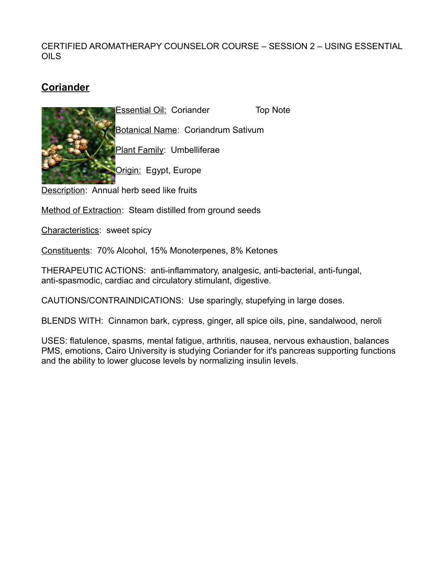# **Coriander**

**Essential Oil: Coriander Top Note** 



Botanical Name: Coriandrum Sativum Plant Family: Umbelliferae

Origin: Egypt, Europe

Description: Annual herb seed like fruits

Method of Extraction: Steam distilled from ground seeds

Characteristics: sweet spicy

Constituents: 70% Alcohol, 15% Monoterpenes, 8% Ketones

THERAPEUTIC ACTIONS: anti-inflammatory, analgesic, anti-bacterial, anti-fungal, anti-spasmodic, cardiac and circulatory stimulant, digestive.

CAUTIONS/CONTRAINDICATIONS: Use sparingly, stupefying in large doses.

BLENDS WITH: Cinnamon bark, cypress, ginger, all spice oils, pine, sandalwood, neroli

USES: flatulence, spasms, mental fatigue, arthritis, nausea, nervous exhaustion, balances PMS, emotions, Cairo University is studying Coriander for it's pancreas supporting functions and the ability to lower glucose levels by normalizing insulin levels.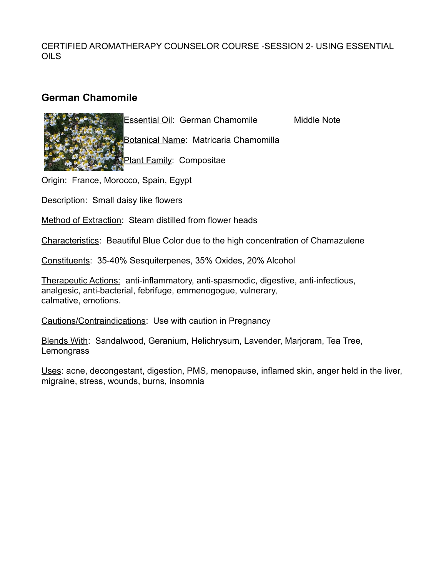# **German Chamomile**



Botanical Name: Matricaria Chamomilla

Plant Family: Compositae

Origin: France, Morocco, Spain, Egypt

Description: Small daisy like flowers

Method of Extraction: Steam distilled from flower heads

Characteristics: Beautiful Blue Color due to the high concentration of Chamazulene

Constituents: 35-40% Sesquiterpenes, 35% Oxides, 20% Alcohol

Therapeutic Actions: anti-inflammatory, anti-spasmodic, digestive, anti-infectious, analgesic, anti-bacterial, febrifuge, emmenogogue, vulnerary, calmative, emotions.

Cautions/Contraindications: Use with caution in Pregnancy

Blends With: Sandalwood, Geranium, Helichrysum, Lavender, Marjoram, Tea Tree, **Lemongrass** 

Uses: acne, decongestant, digestion, PMS, menopause, inflamed skin, anger held in the liver, migraine, stress, wounds, burns, insomnia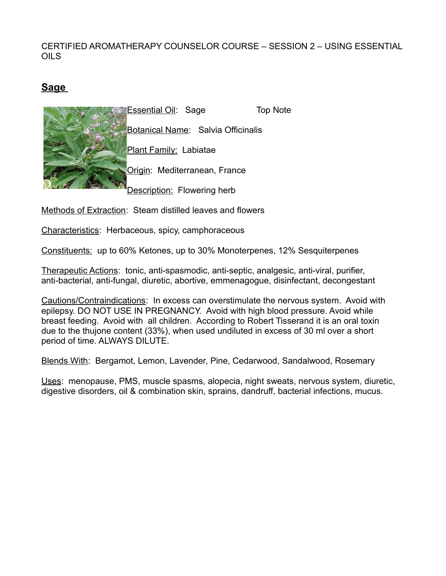# **Sage**



Methods of Extraction: Steam distilled leaves and flowers

Characteristics: Herbaceous, spicy, camphoraceous

Constituents: up to 60% Ketones, up to 30% Monoterpenes, 12% Sesquiterpenes

Therapeutic Actions: tonic, anti-spasmodic, anti-septic, analgesic, anti-viral, purifier, anti-bacterial, anti-fungal, diuretic, abortive, emmenagogue, disinfectant, decongestant

Cautions/Contraindications: In excess can overstimulate the nervous system. Avoid with epilepsy. DO NOT USE IN PREGNANCY. Avoid with high blood pressure. Avoid while breast feeding. Avoid with all children. According to Robert Tisserand it is an oral toxin due to the thujone content (33%), when used undiluted in excess of 30 ml over a short period of time. ALWAYS DILUTE.

Blends With: Bergamot, Lemon, Lavender, Pine, Cedarwood, Sandalwood, Rosemary

Uses: menopause, PMS, muscle spasms, alopecia, night sweats, nervous system, diuretic, digestive disorders, oil & combination skin, sprains, dandruff, bacterial infections, mucus.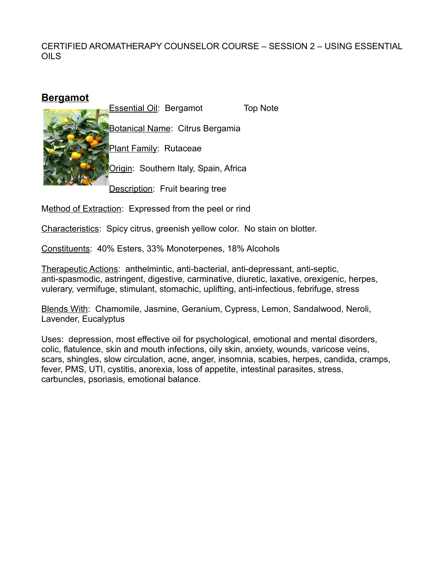| <u>Bergamot</u> |                                |                                        |          |
|-----------------|--------------------------------|----------------------------------------|----------|
|                 | <b>Essential Oil: Bergamot</b> |                                        | Top Note |
|                 |                                | <b>Botanical Name: Citrus Bergamia</b> |          |
|                 | Plant Family: Rutaceae         |                                        |          |
|                 |                                | Origin: Southern Italy, Spain, Africa  |          |
|                 |                                | <b>Description:</b> Fruit bearing tree |          |

Method of Extraction: Expressed from the peel or rind

Characteristics: Spicy citrus, greenish yellow color. No stain on blotter.

Constituents: 40% Esters, 33% Monoterpenes, 18% Alcohols

Therapeutic Actions: anthelmintic, anti-bacterial, anti-depressant, anti-septic, anti-spasmodic, astringent, digestive, carminative, diuretic, laxative, orexigenic, herpes, vulerary, vermifuge, stimulant, stomachic, uplifting, anti-infectious, febrifuge, stress

Blends With: Chamomile, Jasmine, Geranium, Cypress, Lemon, Sandalwood, Neroli, Lavender, Eucalyptus

Uses: depression, most effective oil for psychological, emotional and mental disorders, colic, flatulence, skin and mouth infections, oily skin, anxiety, wounds, varicose veins, scars, shingles, slow circulation, acne, anger, insomnia, scabies, herpes, candida, cramps, fever, PMS, UTI, cystitis, anorexia, loss of appetite, intestinal parasites, stress, carbuncles, psoriasis, emotional balance.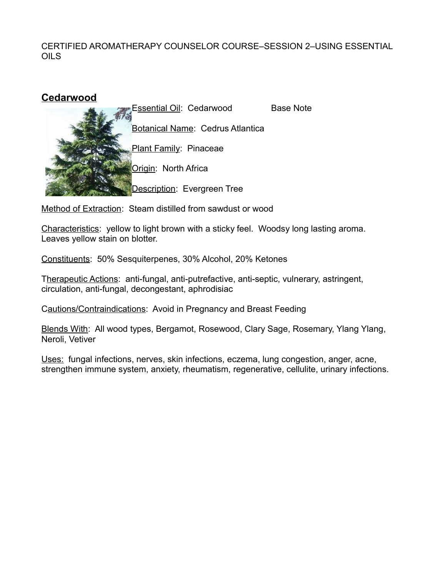

Method of Extraction: Steam distilled from sawdust or wood

Characteristics: yellow to light brown with a sticky feel. Woodsy long lasting aroma. Leaves yellow stain on blotter.

Constituents: 50% Sesquiterpenes, 30% Alcohol, 20% Ketones

Therapeutic Actions: anti-fungal, anti-putrefactive, anti-septic, vulnerary, astringent, circulation, anti-fungal, decongestant, aphrodisiac

Cautions/Contraindications: Avoid in Pregnancy and Breast Feeding

Blends With: All wood types, Bergamot, Rosewood, Clary Sage, Rosemary, Ylang Ylang, Neroli, Vetiver

Uses: fungal infections, nerves, skin infections, eczema, lung congestion, anger, acne, strengthen immune system, anxiety, rheumatism, regenerative, cellulite, urinary infections.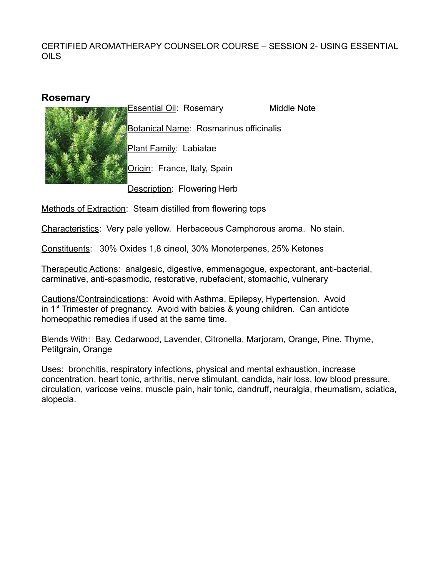## **Rosemary**



Essential Oil: Rosemary Middle Note Botanical Name: Rosmarinus officinalis Plant Family: Labiatae Origin: France, Italy, Spain

Description: Flowering Herb

Methods of Extraction: Steam distilled from flowering tops

Characteristics: Very pale yellow. Herbaceous Camphorous aroma. No stain.

Constituents: 30% Oxides 1,8 cineol, 30% Monoterpenes, 25% Ketones

Therapeutic Actions: analgesic, digestive, emmenagogue, expectorant, anti-bacterial, carminative, anti-spasmodic, restorative, rubefacient, stomachic, vulnerary

Cautions/Contraindications: Avoid with Asthma, Epilepsy, Hypertension. Avoid in  $1<sup>st</sup>$  Trimester of pregnancy. Avoid with babies & young children. Can antidote homeopathic remedies if used at the same time.

Blends With: Bay, Cedarwood, Lavender, Citronella, Marjoram, Orange, Pine, Thyme, Petitgrain, Orange

Uses: bronchitis, respiratory infections, physical and mental exhaustion, increase concentration, heart tonic, arthritis, nerve stimulant, candida, hair loss, low blood pressure, circulation, varicose veins, muscle pain, hair tonic, dandruff, neuralgia, rheumatism, sciatica, alopecia.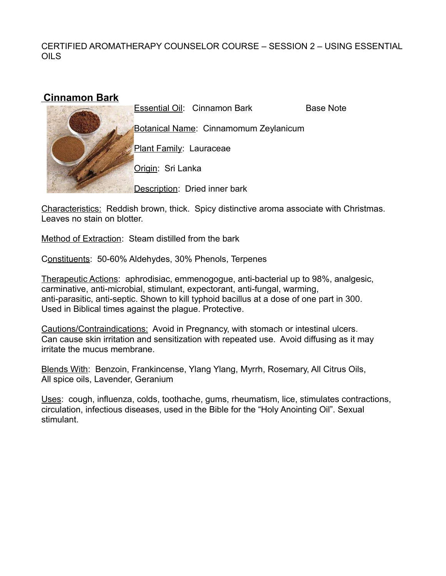## **Cinnamon Bark**

Essential Oil: Cinnamon Bark Base Note

Botanical Name: Cinnamomum Zeylanicum

Plant Family: Lauraceae

Origin: Sri Lanka

Description: Dried inner bark

Characteristics: Reddish brown, thick. Spicy distinctive aroma associate with Christmas. Leaves no stain on blotter.

Method of Extraction: Steam distilled from the bark

Constituents: 50-60% Aldehydes, 30% Phenols, Terpenes

Therapeutic Actions: aphrodisiac, emmenogogue, anti-bacterial up to 98%, analgesic, carminative, anti-microbial, stimulant, expectorant, anti-fungal, warming, anti-parasitic, anti-septic. Shown to kill typhoid bacillus at a dose of one part in 300. Used in Biblical times against the plague. Protective.

Cautions/Contraindications: Avoid in Pregnancy, with stomach or intestinal ulcers. Can cause skin irritation and sensitization with repeated use. Avoid diffusing as it may irritate the mucus membrane.

Blends With: Benzoin, Frankincense, Ylang Ylang, Myrrh, Rosemary, All Citrus Oils, All spice oils, Lavender, Geranium

Uses: cough, influenza, colds, toothache, gums, rheumatism, lice, stimulates contractions, circulation, infectious diseases, used in the Bible for the "Holy Anointing Oil". Sexual stimulant.

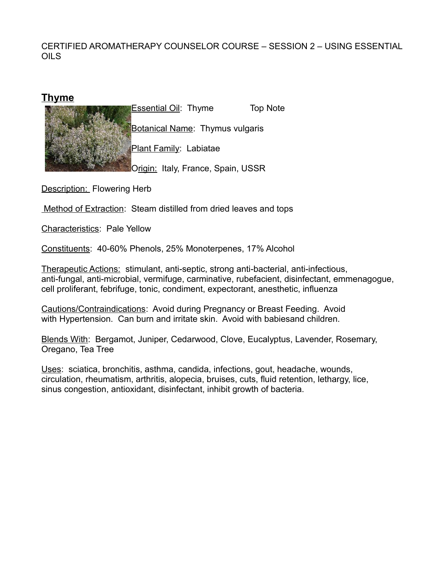#### **Thyme**



Description: Flowering Herb

Method of Extraction: Steam distilled from dried leaves and tops

Characteristics: Pale Yellow

Constituents: 40-60% Phenols, 25% Monoterpenes, 17% Alcohol

Therapeutic Actions: stimulant, anti-septic, strong anti-bacterial, anti-infectious, anti-fungal, anti-microbial, vermifuge, carminative, rubefacient, disinfectant, emmenagogue, cell proliferant, febrifuge, tonic, condiment, expectorant, anesthetic, influenza

Cautions/Contraindications: Avoid during Pregnancy or Breast Feeding. Avoid with Hypertension. Can burn and irritate skin. Avoid with babiesand children.

Blends With: Bergamot, Juniper, Cedarwood, Clove, Eucalyptus, Lavender, Rosemary, Oregano, Tea Tree

Uses: sciatica, bronchitis, asthma, candida, infections, gout, headache, wounds, circulation, rheumatism, arthritis, alopecia, bruises, cuts, fluid retention, lethargy, lice, sinus congestion, antioxidant, disinfectant, inhibit growth of bacteria.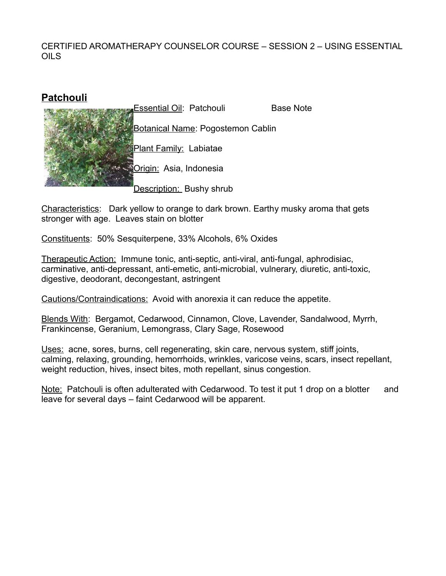# **Patchouli**



Characteristics: Dark yellow to orange to dark brown. Earthy musky aroma that gets stronger with age. Leaves stain on blotter

Constituents: 50% Sesquiterpene, 33% Alcohols, 6% Oxides

Therapeutic Action: Immune tonic, anti-septic, anti-viral, anti-fungal, aphrodisiac, carminative, anti-depressant, anti-emetic, anti-microbial, vulnerary, diuretic, anti-toxic, digestive, deodorant, decongestant, astringent

Cautions/Contraindications: Avoid with anorexia it can reduce the appetite.

Blends With: Bergamot, Cedarwood, Cinnamon, Clove, Lavender, Sandalwood, Myrrh, Frankincense, Geranium, Lemongrass, Clary Sage, Rosewood

Uses: acne, sores, burns, cell regenerating, skin care, nervous system, stiff joints, calming, relaxing, grounding, hemorrhoids, wrinkles, varicose veins, scars, insect repellant, weight reduction, hives, insect bites, moth repellant, sinus congestion.

Note: Patchouli is often adulterated with Cedarwood. To test it put 1 drop on a blotter and leave for several days – faint Cedarwood will be apparent.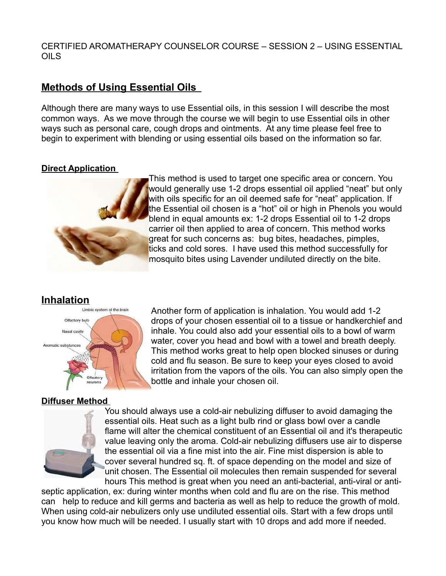# **Methods of Using Essential Oils**

Although there are many ways to use Essential oils, in this session I will describe the most common ways. As we move through the course we will begin to use Essential oils in other ways such as personal care, cough drops and ointments. At any time please feel free to begin to experiment with blending or using essential oils based on the information so far.

#### **Direct Application**



This method is used to target one specific area or concern. You would generally use 1-2 drops essential oil applied "neat" but only with oils specific for an oil deemed safe for "neat" application. If the Essential oil chosen is a "hot" oil or high in Phenols you would blend in equal amounts ex: 1-2 drops Essential oil to 1-2 drops carrier oil then applied to area of concern. This method works great for such concerns as: bug bites, headaches, pimples, ticks and cold sores. I have used this method successfully for mosquito bites using Lavender undiluted directly on the bite.

Another form of application is inhalation. You would add 1-2 drops of your chosen essential oil to a tissue or handkerchief and inhale. You could also add your essential oils to a bowl of warm water, cover you head and bowl with a towel and breath deeply. This method works great to help open blocked sinuses or during cold and flu season. Be sure to keep your eyes closed to avoid irritation from the vapors of the oils. You can also simply open the

# **Inhalation**



#### **Diffuser Method**



bottle and inhale your chosen oil. You should always use a cold-air nebulizing diffuser to avoid damaging the essential oils. Heat such as a light bulb rind or glass bowl over a candle flame will alter the chemical constituent of an Essential oil and it's therapeutic value leaving only the aroma. Cold-air nebulizing diffusers use air to disperse the essential oil via a fine mist into the air. Fine mist dispersion is able to cover several hundred sq. ft. of space depending on the model and size of unit chosen. The Essential oil molecules then remain suspended for several

hours This method is great when you need an anti-bacterial, anti-viral or antiseptic application, ex: during winter months when cold and flu are on the rise. This method can help to reduce and kill germs and bacteria as well as help to reduce the growth of mold. When using cold-air nebulizers only use undiluted essential oils. Start with a few drops until you know how much will be needed. I usually start with 10 drops and add more if needed.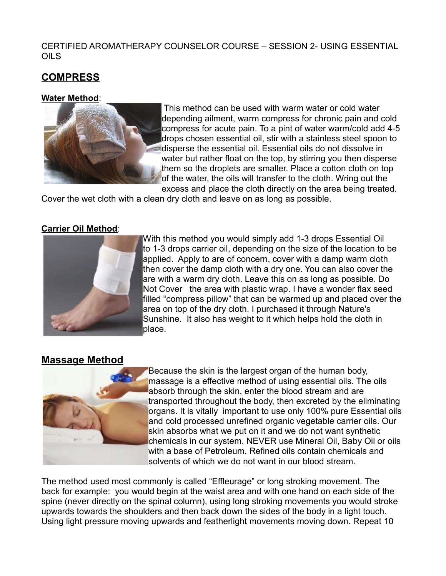# **COMPRESS**

#### **Water Method**:



 This method can be used with warm water or cold water depending ailment, warm compress for chronic pain and cold compress for acute pain. To a pint of water warm/cold add 4-5 drops chosen essential oil, stir with a stainless steel spoon to disperse the essential oil. Essential oils do not dissolve in water but rather float on the top, by stirring you then disperse them so the droplets are smaller. Place a cotton cloth on top of the water, the oils will transfer to the cloth. Wring out the excess and place the cloth directly on the area being treated.

Cover the wet cloth with a clean dry cloth and leave on as long as possible.

#### **Carrier Oil Method**:



With this method you would simply add 1-3 drops Essential Oil to 1-3 drops carrier oil, depending on the size of the location to be applied. Apply to are of concern, cover with a damp warm cloth then cover the damp cloth with a dry one. You can also cover the are with a warm dry cloth. Leave this on as long as possible. Do Not Cover the area with plastic wrap. I have a wonder flax seed filled "compress pillow" that can be warmed up and placed over the area on top of the dry cloth. I purchased it through Nature's Sunshine. It also has weight to it which helps hold the cloth in place.

# **Massage Method**



Because the skin is the largest organ of the human body, massage is a effective method of using essential oils. The oils absorb through the skin, enter the blood stream and are transported throughout the body, then excreted by the eliminating organs. It is vitally important to use only 100% pure Essential oils and cold processed unrefined organic vegetable carrier oils. Our skin absorbs what we put on it and we do not want synthetic chemicals in our system. NEVER use Mineral Oil, Baby Oil or oils with a base of Petroleum. Refined oils contain chemicals and solvents of which we do not want in our blood stream.

The method used most commonly is called "Effleurage" or long stroking movement. The back for example: you would begin at the waist area and with one hand on each side of the spine (never directly on the spinal column), using long stroking movements you would stroke upwards towards the shoulders and then back down the sides of the body in a light touch. Using light pressure moving upwards and featherlight movements moving down. Repeat 10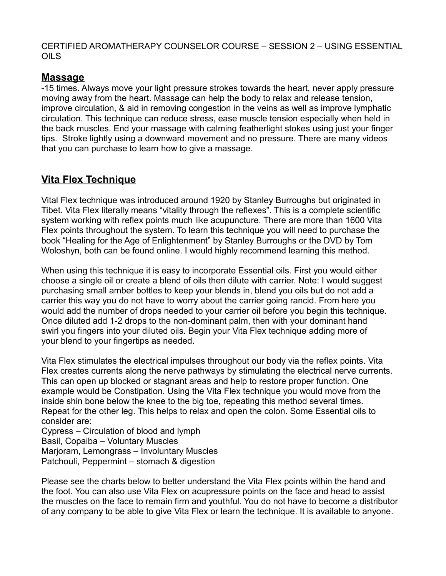# **Massage**

-15 times. Always move your light pressure strokes towards the heart, never apply pressure moving away from the heart. Massage can help the body to relax and release tension, improve circulation, & aid in removing congestion in the veins as well as improve lymphatic circulation. This technique can reduce stress, ease muscle tension especially when held in the back muscles. End your massage with calming featherlight stokes using just your finger tips. Stroke lightly using a downward movement and no pressure. There are many videos that you can purchase to learn how to give a massage.

# **Vita Flex Technique**

Vital Flex technique was introduced around 1920 by Stanley Burroughs but originated in Tibet. Vita Flex literally means "vitality through the reflexes". This is a complete scientific system working with reflex points much like acupuncture. There are more than 1600 Vita Flex points throughout the system. To learn this technique you will need to purchase the book "Healing for the Age of Enlightenment" by Stanley Burroughs or the DVD by Tom Woloshyn, both can be found online. I would highly recommend learning this method.

When using this technique it is easy to incorporate Essential oils. First you would either choose a single oil or create a blend of oils then dilute with carrier. Note: I would suggest purchasing small amber bottles to keep your blends in, blend you oils but do not add a carrier this way you do not have to worry about the carrier going rancid. From here you would add the number of drops needed to your carrier oil before you begin this technique. Once diluted add 1-2 drops to the non-dominant palm, then with your dominant hand swirl you fingers into your diluted oils. Begin your Vita Flex technique adding more of your blend to your fingertips as needed.

Vita Flex stimulates the electrical impulses throughout our body via the reflex points. Vita Flex creates currents along the nerve pathways by stimulating the electrical nerve currents. This can open up blocked or stagnant areas and help to restore proper function. One example would be Constipation. Using the Vita Flex technique you would move from the inside shin bone below the knee to the big toe, repeating this method several times. Repeat for the other leg. This helps to relax and open the colon. Some Essential oils to consider are:

Cypress – Circulation of blood and lymph Basil, Copaiba – Voluntary Muscles Marjoram, Lemongrass – Involuntary Muscles Patchouli, Peppermint – stomach & digestion

Please see the charts below to better understand the Vita Flex points within the hand and the foot. You can also use Vita Flex on acupressure points on the face and head to assist the muscles on the face to remain firm and youthful. You do not have to become a distributor of any company to be able to give Vita Flex or learn the technique. It is available to anyone.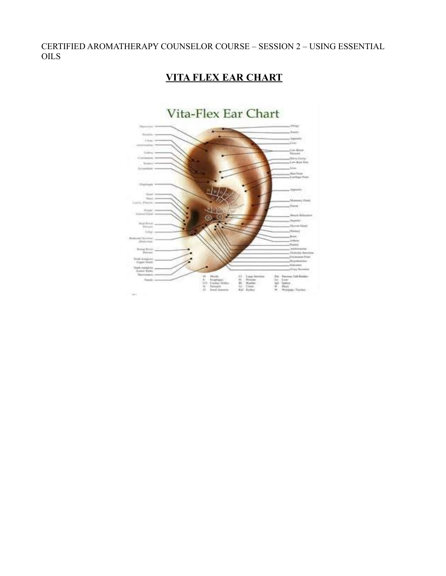# **VITA FLEX EAR CHART**

# Vita-Flex Ear Chart  $\begin{tabular}{lllllllllllll} \textbf{U} & \textbf{M} & \textbf{M} & \textbf{M} & \textbf{M} & \textbf{M} & \textbf{M} & \textbf{M} & \textbf{M} & \textbf{M} & \textbf{M} & \textbf{M} & \textbf{M} & \textbf{M} & \textbf{M} & \textbf{M} & \textbf{M} & \textbf{M} & \textbf{M} & \textbf{M} & \textbf{M} & \textbf{M} & \textbf{M} & \textbf{M} & \textbf{M} & \textbf{M} & \textbf{M} & \textbf{M} & \textbf{M} & \textbf$ iili.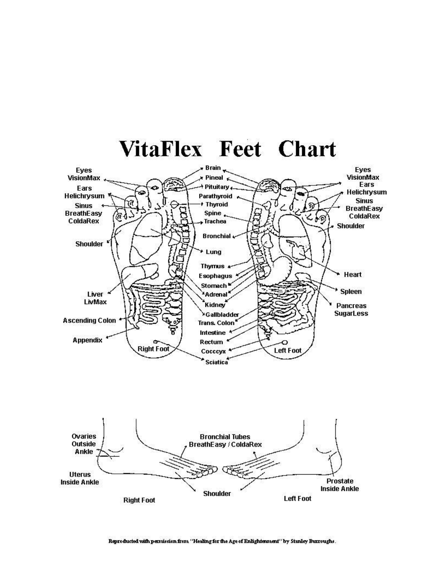

# VitaFlex Feet Chart

Reproducted with permission from "Healing for the Age of Enlightenment" by Stanley Burroughs.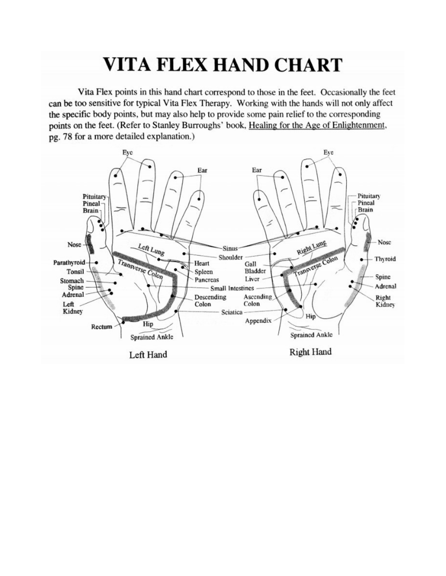# **VITA FLEX HAND CHART**

Vita Flex points in this hand chart correspond to those in the feet. Occasionally the feet can be too sensitive for typical Vita Flex Therapy. Working with the hands will not only affect the specific body points, but may also help to provide some pain relief to the corresponding points on the feet. (Refer to Stanley Burroughs' book, Healing for the Age of Enlightenment, pg. 78 for a more detailed explanation.)

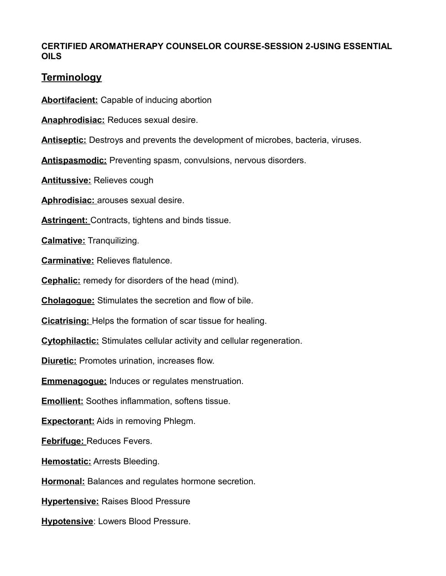# **Terminology**

**Abortifacient:** Capable of inducing abortion

**Anaphrodisiac:** Reduces sexual desire.

**Antiseptic:** Destroys and prevents the development of microbes, bacteria, viruses.

**Antispasmodic:** Preventing spasm, convulsions, nervous disorders.

**Antitussive:** Relieves cough

**Aphrodisiac:** arouses sexual desire.

**Astringent:** Contracts, tightens and binds tissue.

**Calmative:** Tranquilizing.

**Carminative:** Relieves flatulence.

**Cephalic:** remedy for disorders of the head (mind).

**Cholagogue:** Stimulates the secretion and flow of bile.

**Cicatrising:** Helps the formation of scar tissue for healing.

**Cytophilactic:** Stimulates cellular activity and cellular regeneration.

**Diuretic:** Promotes urination, increases flow.

**Emmenagogue:** Induces or regulates menstruation.

**Emollient:** Soothes inflammation, softens tissue.

**Expectorant:** Aids in removing Phlegm.

**Febrifuge:** Reduces Fevers.

**Hemostatic:** Arrests Bleeding.

**Hormonal:** Balances and regulates hormone secretion.

**Hypertensive:** Raises Blood Pressure

**Hypotensive**: Lowers Blood Pressure.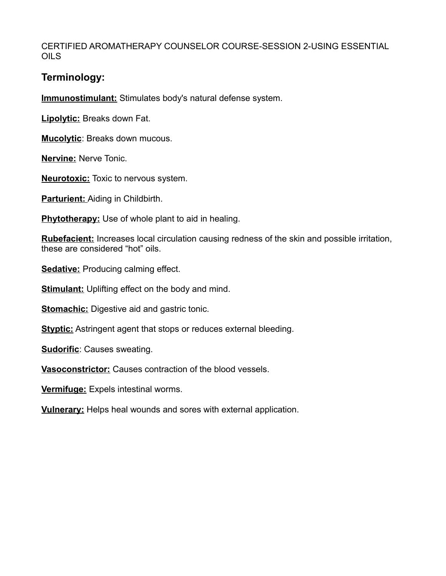# **Terminology:**

**Immunostimulant:** Stimulates body's natural defense system.

**Lipolytic:** Breaks down Fat.

**Mucolytic**: Breaks down mucous.

**Nervine:** Nerve Tonic.

**Neurotoxic:** Toxic to nervous system.

**Parturient:** Aiding in Childbirth.

**Phytotherapy:** Use of whole plant to aid in healing.

**Rubefacient:** Increases local circulation causing redness of the skin and possible irritation, these are considered "hot" oils.

**Sedative:** Producing calming effect.

**Stimulant:** Uplifting effect on the body and mind.

**Stomachic:** Digestive aid and gastric tonic.

**Styptic:** Astringent agent that stops or reduces external bleeding.

**Sudorific**: Causes sweating.

**Vasoconstrictor:** Causes contraction of the blood vessels.

**Vermifuge:** Expels intestinal worms.

**Vulnerary:** Helps heal wounds and sores with external application.